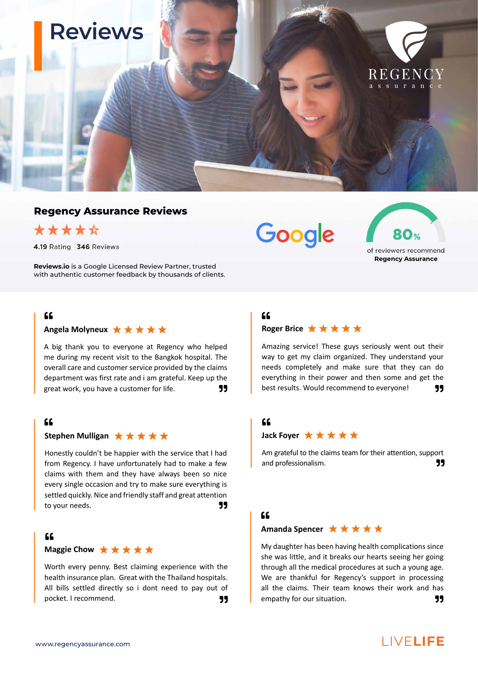

#### **Regency Assurance Reviews**



4.19 Rating 346 Reviews

**Reviews.io** is a Google Licensed Review Partner, trusted with authentic customer feedback by thousands of clients.

### $C$

#### Angela Molyneux **★ ★ ★ ★ ★**

A big thank you to everyone at Regency who helped me during my recent visit to the Bangkok hospital. The overall care and customer service provided by the claims department was first rate and i am grateful. Keep up the great work, you have a customer for life.  $\overline{\phantom{1}}$ 

#### $\epsilon$

#### Stephen Mulligan **★ ★ ★ ★ ★**

Honestly couldn't be happier with the service that I had from Regency. I have unfortunately had to make a few claims with them and they have always been so nice every single occasion and try to make sure everything is settled quickly. Nice and friendly staff and great attention to your needs. **Supports that the set of the set of the set of the set of the set of the set of the set of the set of the set of the set of the set of the set of the set of the set of the set of the set of the set of the s** 

#### $66$

#### **Maggie Chow**  $\star \star \star \star \star \star$

Worth every penny. Best claiming experience with the health insurance plan. Great with the Thailand hospitals. All bills settled directly so i dont need to pay out of pocket. I recommend. **QUOTEFRIGHT 1** 

# Google



# **Roger Brice ★★★★★**  $C$

Amazing service! These guys seriously went out their way to get my claim organized. They understand your needs completely and make sure that they can do everything in their power and then some and get the best results. Would recommend to everyone!

#### $66$

#### **Jack Fover ★ ★ ★ ★ ★**

Am grateful to the claims team for their attention, support and professionalism.

#### $\epsilon$

#### Amanda Spencer ★ ★ ★ ★ ★

My daughter has been having health complications since she was little, and it breaks our hearts seeing her going through all the medical procedures at such a young age. We are thankful for Regency's support in processing all the claims. Their team knows their work and has empathy for our situation.  $\Box$ 

# www.regencyassurance.com LIVE**LIFE**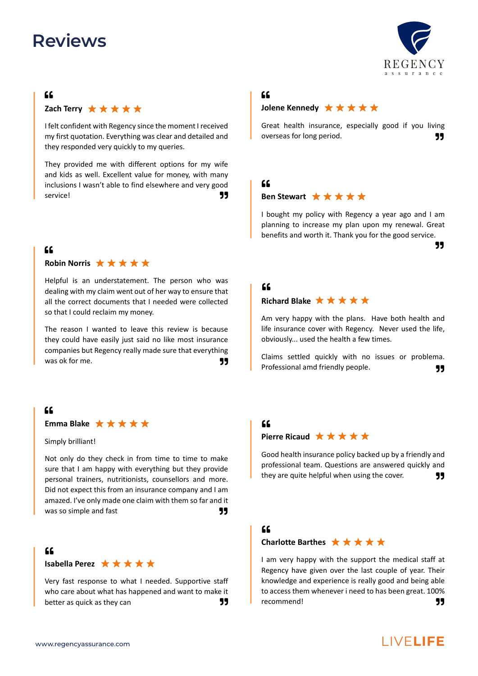#### $C$

Zach Terry  $\star \star \star \star \star$ 

I felt confident with Regency since the moment I received my first quotation. Everything was clear and detailed and they responded very quickly to my queries.

They provided me with different options for my wife and kids as well. Excellent value for money, with many inclusions I wasn't able to find elsewhere and very good service! **DuoTes and Service** of the service of the service of the service of the service of the service of the s

# $66$

#### **Robin Norris** ★ ★ ★ ★ ★

Helpful is an understatement. The person who was dealing with my claim went out of her way to ensure that all the correct documents that I needed were collected so that I could reclaim my money.

The reason I wanted to leave this review is because they could have easily just said no like most insurance companies but Regency really made sure that everything was ok for me.

### $f$

#### **Emma Blake** ★ ★ ★ ★ ★

Simply brilliant!

Not only do they check in from time to time to make sure that I am happy with everything but they provide personal trainers, nutritionists, counsellors and more. Did not expect this from an insurance company and I am amazed. I've only made one claim with them so far and it was so simple and fast  $\overline{\phantom{a}}$  and  $\overline{\phantom{a}}$  and  $\overline{\phantom{a}}$  and  $\overline{\phantom{a}}$  and  $\overline{\phantom{a}}$  and  $\overline{\phantom{a}}$  and  $\overline{\phantom{a}}$  and  $\overline{\phantom{a}}$  and  $\overline{\phantom{a}}$  and  $\overline{\phantom{a}}$  and  $\overline{\phantom{a}}$  and  $\overline{\phantom{a}}$  and  $\overline{\phant$ 

#### $C$

#### **Isabella Perez** ★ ★ ★ ★ ★

Very fast response to what I needed. Supportive staff who care about what has happened and want to make it better as quick as they can **99** 

#### $C$

#### **Jolene Kennedy ★★★★★**

Great health insurance, especially good if you living overseas for long period.  $\Box$ 

# $C$

#### Ben Stewart **★ ★ ★ ★ ★**

I bought my policy with Regency a year ago and I am planning to increase my plan upon my renewal. Great benefits and worth it. Thank you for the good service.

# **99**

# $f$

#### **Richard Blake ★★★★★**

Am very happy with the plans. Have both health and life insurance cover with Regency. Never used the life, obviously... used the health a few times.

Claims settled quickly with no issues or problema. Professional amd friendly people. **The COTE-RIGHTS** 

#### $66$

#### Pierre Ricaud **★ ★ ★ ★ ★**

Good health insurance policy backed up by a friendly and professional team. Questions are answered quickly and they are quite helpful when using the cover. **JJ** 

#### $66$

#### **Charlotte Barthes** ★ ★ ★ ★ ★

I am very happy with the support the medical staff at Regency have given over the last couple of year. Their knowledge and experience is really good and being able to access them whenever i need to has been great. 100% recommend! **99** 



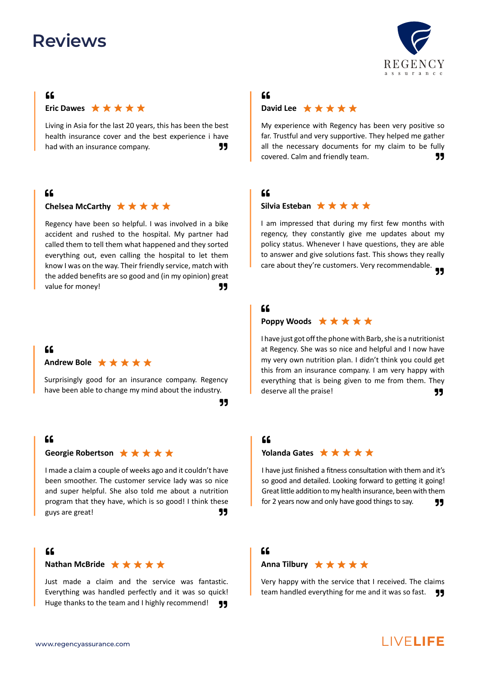#### $66$



Living in Asia for the last 20 years, this has been the best health insurance cover and the best experience i have had with an insurance company. 99

### $66$

#### Chelsea McCarthy **★ ★ ★ ★ ★**

Regency have been so helpful. I was involved in a bike accident and rushed to the hospital. My partner had called them to tell them what happened and they sorted everything out, even calling the hospital to let them know I was on the way. Their friendly service, match with the added benefits are so good and (in my opinion) great value for money!

# $66$

#### Andrew Bole **★ ★ ★ ★ ★**

Surprisingly good for an insurance company. Regency have been able to change my mind about the industry.

QUOTE-RIGHT

#### $66$

#### Georgie Robertson **★ ★ ★ ★ ★**

I made a claim a couple of weeks ago and it couldn't have been smoother. The customer service lady was so nice and super helpful. She also told me about a nutrition program that they have, which is so good! I think these guys are great!

#### $\epsilon$

#### **Nathan McBride** ★ ★ ★ ★ ★

Just made a claim and the service was fantastic. Everything was handled perfectly and it was so quick! Huge thanks to the team and I highly recommend!  $\Box$ 



# $C$

#### David Lee  $\star \star \star \star \star$

My experience with Regency has been very positive so far. Trustful and very supportive. They helped me gather all the necessary documents for my claim to be fully covered. Calm and friendly team. 99

#### $66$

#### Silvia Esteban **★ ★ ★ ★ ★**

I am impressed that during my first few months with regency, they constantly give me updates about my policy status. Whenever I have questions, they are able to answer and give solutions fast. This shows they really care about they're customers. Very recommendable. QUOTE-RIGHT

#### $66$

#### **Poppy Woods** ★ ★ ★ ★ ★

I have just got off the phone with Barb, she is a nutritionist at Regency. She was so nice and helpful and I now have my very own nutrition plan. I didn't think you could get this from an insurance company. I am very happy with everything that is being given to me from them. They deserve all the praise!

#### $66$

#### **Yolanda Gates** ★ ★ ★ ★ ★

I have just finished a fitness consultation with them and it's so good and detailed. Looking forward to getting it going! Great little addition to my health insurance, been with them for 2 years now and only have good things to say.  $\Box$ 

#### $\epsilon$

#### Anna Tilbury  $\star \star \star \star \star$

Very happy with the service that I received. The claims team handled everything for me and it was so fast.  $\Box$ 

# www.regencyassurance.com LIVE**LIFE**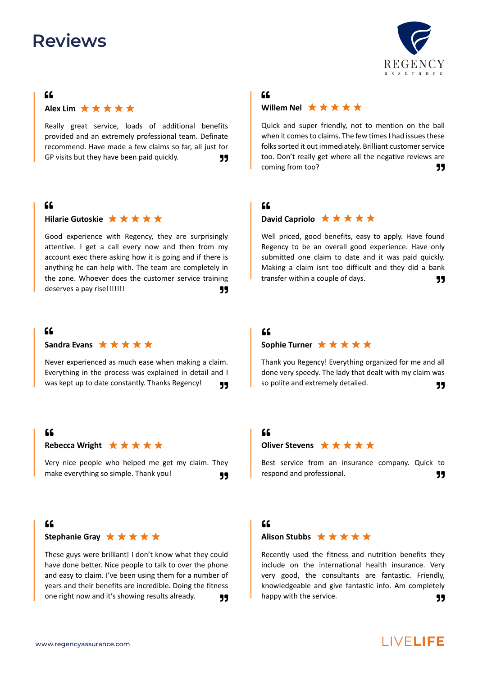#### $C$



Really great service, loads of additional benefits provided and an extremely professional team. Definate recommend. Have made a few claims so far, all just for GP visits but they have been paid quickly.  $\Box$ 

## $66$

#### **Hilarie Gutoskie** ★ ★ ★ ★ ★

Good experience with Regency, they are surprisingly attentive. I get a call every now and then from my account exec there asking how it is going and if there is anything he can help with. The team are completely in the zone. Whoever does the customer service training deserves a pay rise!!!!!!! QUOTE-RIGHT CONTROLLERIGHT OF THE SET OF THE SET OF THE SET OF THE SET OF THE SET O

#### $C$

#### Sandra Evans **★ ★ ★ ★ ★**

Never experienced as much ease when making a claim. Everything in the process was explained in detail and I was kept up to date constantly. Thanks Regency!

#### $66$

#### **Rebecca Wright** ★ ★ ★ ★ ★

Very nice people who helped me get my claim. They make everything so simple. Thank you! QUOTE-RIGHT

# $66$

#### Stephanie Gray **★ ★ ★ ★ ★**

These guys were brilliant! I don't know what they could have done better. Nice people to talk to over the phone and easy to claim. I've been using them for a number of years and their benefits are incredible. Doing the fitness one right now and it's showing results already. **99** 

# REGENCY assurance

# $C$

#### **Willem Nel** ★ ★ ★ ★ ★

Quick and super friendly, not to mention on the ball when it comes to claims. The few times I had issues these folks sorted it out immediately. Brilliant customer service too. Don't really get where all the negative reviews are coming from too? **39** 

#### $66$

#### **David Capriolo** ★ ★ ★ ★ ★

Well priced, good benefits, easy to apply. Have found Regency to be an overall good experience. Have only submitted one claim to date and it was paid quickly. Making a claim isnt too difficult and they did a bank transfer within a couple of days. QUOTE-RIGHT

# $f$

#### Sophie Turner **★ ★ ★ ★ ★**

Thank you Regency! Everything organized for me and all done very speedy. The lady that dealt with my claim was so polite and extremely detailed.  $\overline{\phantom{a}}$ 

# $66$

#### **Oliver Stevens** ★ ★ ★ ★ ★

Best service from an insurance company. Quick to respond and professional. QUOTE-RIGHT

# $C$

#### Alison Stubbs **★ ★ ★ ★ ★**

Recently used the fitness and nutrition benefits they include on the international health insurance. Very very good, the consultants are fantastic. Friendly, knowledgeable and give fantastic info. Am completely happy with the service. **99** 

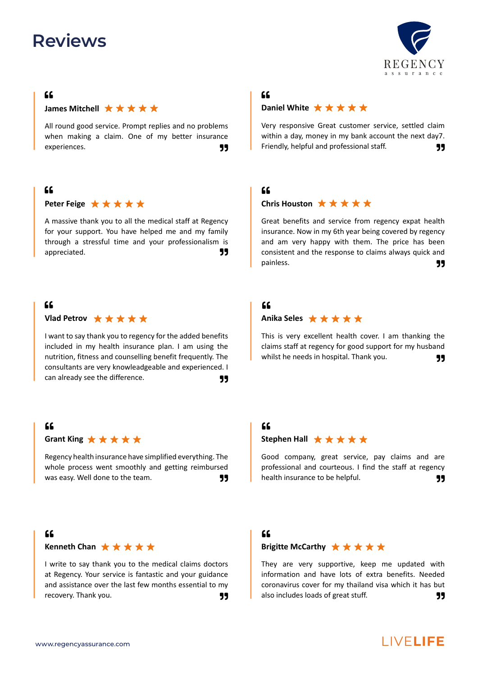# $C$

#### **James Mitchell**  $\star \star \star \star \star \star$

All round good service. Prompt replies and no problems when making a claim. One of my better insurance experiences.

## $C$

#### Peter Feige **★ ★ ★ ★ ★**

A massive thank you to all the medical staff at Regency for your support. You have helped me and my family through a stressful time and your professionalism is appreciated. **99** 

#### $66$



I want to say thank you to regency for the added benefits included in my health insurance plan. I am using the nutrition, fitness and counselling benefit frequently. The consultants are very knowleadgeable and experienced. I can already see the difference.  $\Box$ 

#### $\Omega$

Grant King  $\star \star \star \star \star$ 

Regency health insurance have simplified everything. The whole process went smoothly and getting reimbursed was easy. Well done to the team. **JJ** 

#### $C$

**Kenneth Chan** ★ ★ ★ ★ ★

I write to say thank you to the medical claims doctors at Regency. Your service is fantastic and your guidance and assistance over the last few months essential to my recovery. Thank you. **99** 

# $C$

#### **Daniel White** ★ ★ ★ ★ ★

Very responsive Great customer service, settled claim within a day, money in my bank account the next day7. Friendly, helpful and professional staff.  $\Box$ 

# $C$

#### Chris Houston  $\star \star \star \star \star$

Great benefits and service from regency expat health insurance. Now in my 6th year being covered by regency and am very happy with them. The price has been consistent and the response to claims always quick and painless. **Community Community Community Community Community Community Community Community Community** 

#### $f$

#### Anika Seles **★ ★ ★ ★ ★**

This is very excellent health cover. I am thanking the claims staff at regency for good support for my husband whilst he needs in hospital. Thank you.  $\overline{\phantom{1}}$ 

# $\Omega$

#### Stephen Hall  $\star \star \star \star \star$

Good company, great service, pay claims and are professional and courteous. I find the staff at regency health insurance to be helpful. **JJ** 

# $\epsilon$

### **Brigitte McCarthy** ★ ★ ★ ★ ★

They are very supportive, keep me updated with information and have lots of extra benefits. Needed coronavirus cover for my thailand visa which it has but also includes loads of great stuff. **99**